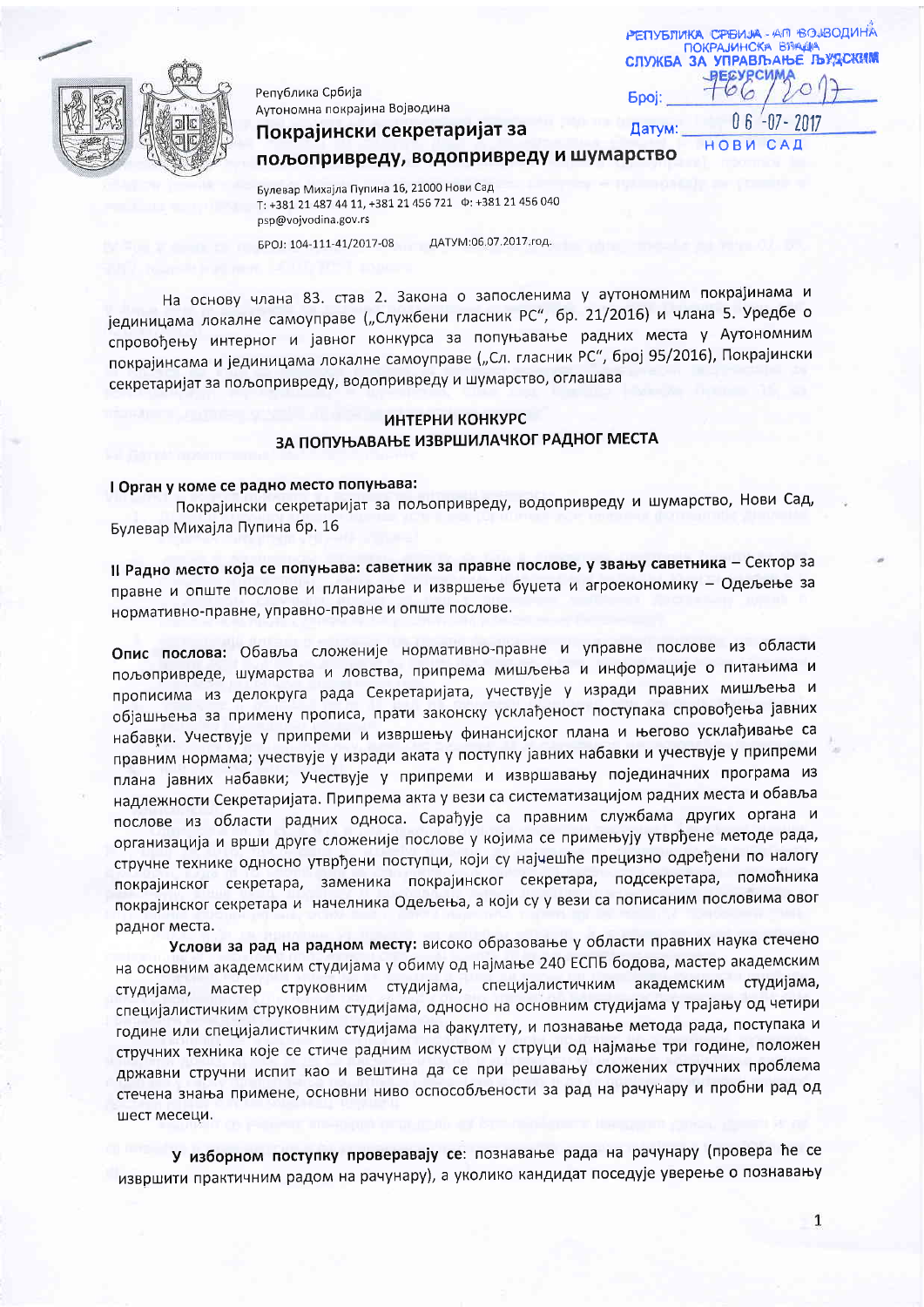

Република Србија Аутономна покрајина Војводина

| РЕПУБЛИКА СРЕИЈА-АП ВОЈВОДИНА<br>ПОКРАЈИНСКА ВЛАДЈА<br><b>СЛУЖБА ЗА УПРАВЉАЊЕ ЉУДСКИМ</b> |                          |
|-------------------------------------------------------------------------------------------|--------------------------|
| <b>Spoj:</b>                                                                              | <b>_PECYPCUMA</b><br>201 |
| Датум:                                                                                    | $06 - 07 - 2017$         |
|                                                                                           | НОВИ САЛ                 |

Покрајински секретаријат за пољопривреду, водопривреду и шумарство

Булевар Михајла Пупина 16, 21000 Нови Сад T: +381 21 487 44 11, +381 21 456 721  $\Phi$ : +381 21 456 040 psp@vojvodina.gov.rs

БРОЈ: 104-111-41/2017-08 ДАТУМ:06.07.2017.год.

На основу члана 83. став 2. Закона о запосленима у аутономним покрајинама и јединицама локалне самоуправе ("Службени гласник РС", бр. 21/2016) и члана 5. Уредбе о спровођењу интерног и јавног конкурса за попуњавање радних места у Аутономним покрајинсама и јединицама локалне самоуправе ("Сл. гласник РС", број 95/2016), Покрајински секретаријат за пољопривреду, водопривреду и шумарство, оглашава

## ИНТЕРНИ КОНКУРС ЗА ПОПУЊАВАЊЕ ИЗВРШИЛАЧКОГ РАДНОГ МЕСТА

# I Орган у коме се радно место попуњава:

Покрајински секретаријат за пољопривреду, водопривреду и шумарство, Нови Сад, Булевар Михајла Пупина бр. 16

II Радно место која се попуњава: саветник за правне послове, у звању саветника - Сектор за правне и опште послове и планирање и извршење буџета и агроекономику - Одељење за нормативно-правне, управно-правне и опште послове.

Опис послова: Обавља сложеније нормативно-правне и управне послове из области пољопривреде, шумарства и ловства, припрема мишљења и информације о питањима и прописима из делокруга рада Секретаријата, учествује у изради правних мишљења и објашњења за примену прописа, прати законску усклађеност поступака спровођења јавних набавки. Учествује у припреми и извршењу финансијског плана и његово усклађивање са правним нормама; учествује у изради аката у поступку јавних набавки и учествује у припреми плана јавних набавки; Учествује у припреми и извршавању појединачних програма из надлежности Секретаријата. Припрема акта у вези са систематизацијом радних места и обавља послове из области радних односа. Сарађује са правним службама других органа и организација и врши друге сложеније послове у којима се примењују утврђене методе рада, стручне технике односно утврђени поступци, који су најчешће прецизно одређени по налогу покрајинског секретара, заменика покрајинског секретара, подсекретара, помоћника покрајинског секретара и начелника Одељења, а који су у вези са пописаним пословима овог радног места.

Услови за рад на радном месту: високо образовање у области правних наука стечено на основним академским студијама у обиму од најмање 240 ЕСПБ бодова, мастер академским студијама, мастер струковним студијама, специјалистичким академским студијама, специјалистичким струковним студијама, односно на основним студијама у трајању од четири године или специјалистичким студијама на факултету, и познавање метода рада, поступака и стручних техника које се стиче радним искуством у струци од најмање три године, положен државни стручни испит као и вештина да се при решавању сложених стручних проблема стечена знања примене, основни ниво оспособљености за рад на рачунару и пробни рад од шест месеци.

У изборном поступку проверавају се: познавање рада на рачунару (провера ће се извршити практичним радом на рачунару), а уколико кандидат поседује уверење о познавању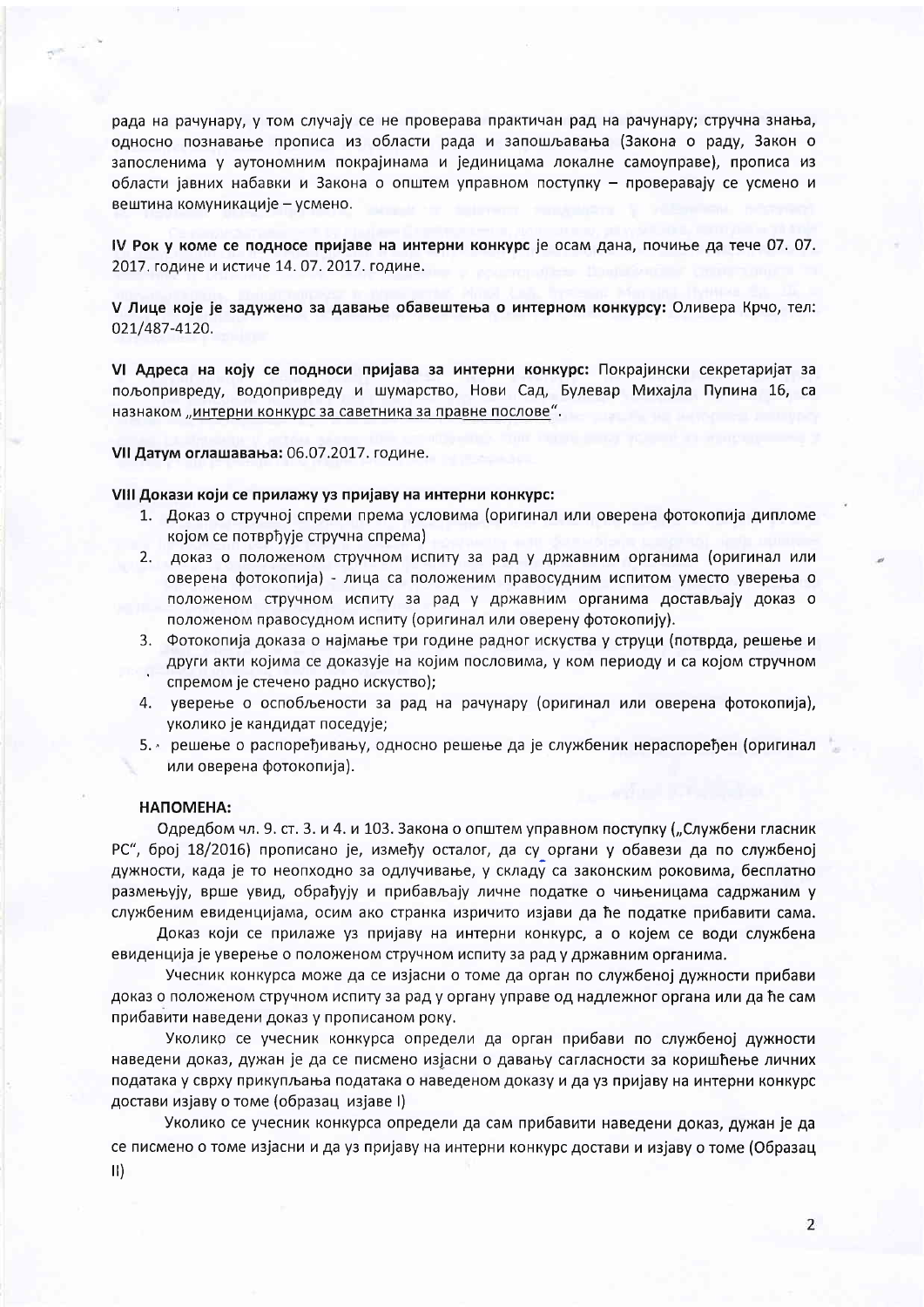рада на рачунару, у том случају се не проверава практичан рад на рачунару; стручна знања, односно познавање прописа из области рада и запошљавања (Закона о раду, Закон о запосленима у аутономним покрајинама и јединицама локалне самоуправе), прописа из области іавних набавки и Закона о општем управном поступку - проверавају се усмено и вештина комуникације - усмено.

IV Рок у коме се подносе пријаве на интерни конкурс је осам дана, почиње да тече 07. 07. 2017. године и истиче 14. 07. 2017. године.

V Лице које је задужено за давање обавештења о интерном конкурсу: Оливера Крчо, тел: 021/487-4120.

VI Адреса на коју се подноси пријава за интерни конкурс: Покрајински секретаријат за пољопривреду, водопривреду и шумарство, Нови Сад, Булевар Михајла Пупина 16, са назнаком "интерни конкурс за саветника за правне послове".

VII Датум оглашавања: 06.07.2017. године.

#### VIII Докази који се прилажу уз пријаву на интерни конкурс:

- 1. Доказ о стручној спреми према условима (оригинал или оверена фотокопија дипломе којом се потврђује стручна спрема)
- 2. доказ о положеном стручном испиту за рад у државним органима (оригинал или оверена фотокопија) - лица са положеним правосудним испитом уместо уверења о положеном стручном испиту за рад у државним органима достављају доказ о положеном правосудном испиту (оригинал или оверену фотокопију).
- 3. Фотокопија доказа о најмање три године радног искуства у струци (потврда, решење и други акти којима се доказује на којим пословима, у ком периоду и са којом стручном спремом је стечено радно искуство);
- 4. уверење о оспобљености за рад на рачунару (оригинал или оверена фотокопија), уколико је кандидат поседује;
- 5. решење о распоређивању, односно решење да је службеник нераспоређен (оригинал или оверена фотокопија).

### НАПОМЕНА:

Одредбом чл. 9. ст. 3. и 4. и 103. Закона о општем управном поступку ("Службени гласник РС", број 18/2016) прописано је, између осталог, да су органи у обавези да по службеној дужности, када је то неопходно за одлучивање, у складу са законским роковима, бесплатно размењују, врше увид, обрађују и прибављају личне податке о чињеницама садржаним у службеним евиденцијама, осим ако странка изричито изјави да ће податке прибавити сама.

Доказ који се прилаже уз пријаву на интерни конкурс, а о којем се води службена евиденција је уверење о положеном стручном испиту за рад у државним органима.

Учесник конкурса може да се изјасни о томе да орган по службеној дужности прибави доказ о положеном стручном испиту за рад у органу управе од надлежног органа или да ће сам прибавити наведени доказ у прописаном року.

Уколико се учесник конкурса определи да орган прибави по службеној дужности наведени доказ, дужан је да се писмено изјасни о давању сагласности за коришћење личних података у сврху прикупљања података о наведеном доказу и да уз пријаву на интерни конкурс достави изјаву о томе (образац изјаве I)

Уколико се учесник конкурса определи да сам прибавити наведени доказ, дужан је да се писмено о томе изјасни и да уз пријаву на интерни конкурс достави и изјаву о томе (Образац  $\vert \vert \vert$